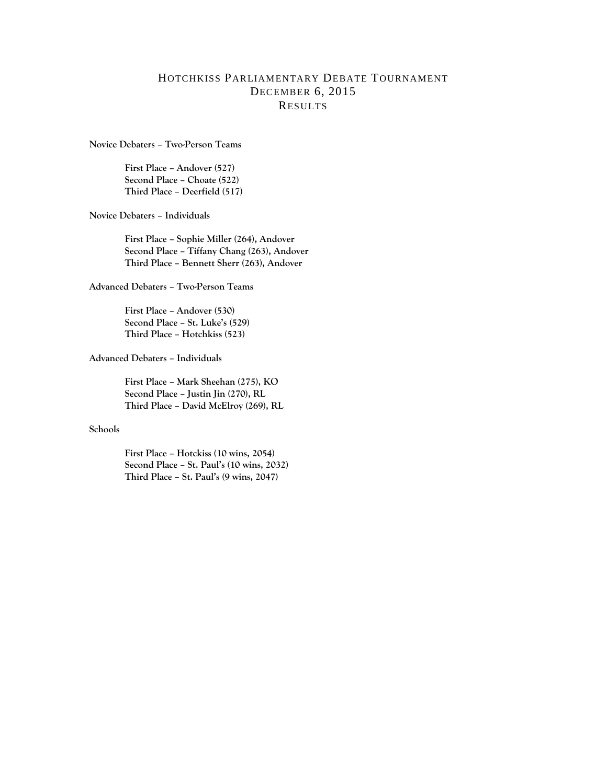## HOTCHKISS PARLIAMENTARY DEBATE TOURNAMENT DECEMBER 6, 2015 RESULTS

**Novice Debaters – Two-Person Teams**

**First Place – Andover (527) Second Place – Choate (522) Third Place – Deerfield (517)**

**Novice Debaters – Individuals**

**First Place – Sophie Miller (264), Andover Second Place – Tiffany Chang (263), Andover Third Place – Bennett Sherr (263), Andover**

**Advanced Debaters – Two-Person Teams**

**First Place – Andover (530) Second Place – St. Luke's (529) Third Place – Hotchkiss (523)**

**Advanced Debaters – Individuals**

**First Place – Mark Sheehan (275), KO Second Place – Justin Jin (270), RL Third Place – David McElroy (269), RL**

## **Schools**

**First Place – Hotckiss (10 wins, 2054) Second Place – St. Paul's (10 wins, 2032) Third Place – St. Paul's (9 wins, 2047)**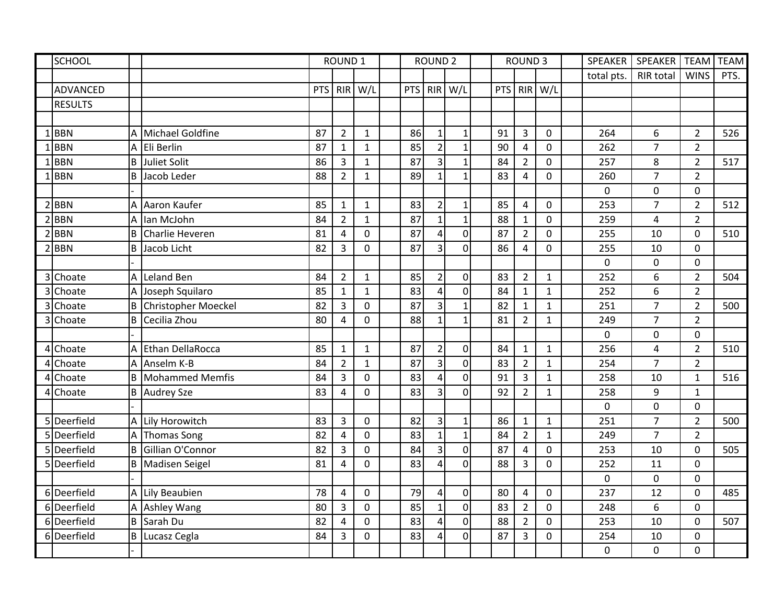|   | <b>SCHOOL</b>   |                |                            | <b>ROUND 1</b> |                |              |            | <b>ROUND 2</b>          |                  |            | <b>ROUND 3</b>          |              | SPEAKER     | SPEAKER                 | <b>TEAM</b>    | <b>TEAM</b> |
|---|-----------------|----------------|----------------------------|----------------|----------------|--------------|------------|-------------------------|------------------|------------|-------------------------|--------------|-------------|-------------------------|----------------|-------------|
|   |                 |                |                            |                |                |              |            |                         |                  |            |                         |              | total pts.  | <b>RIR total</b>        | <b>WINS</b>    | PTS.        |
|   | <b>ADVANCED</b> |                |                            | <b>PTS</b>     | <b>RIR</b>     | W/L          | <b>PTS</b> | <b>RIR</b>              | W/L              | <b>PTS</b> |                         | RIR W/L      |             |                         |                |             |
|   | <b>RESULTS</b>  |                |                            |                |                |              |            |                         |                  |            |                         |              |             |                         |                |             |
|   |                 |                |                            |                |                |              |            |                         |                  |            |                         |              |             |                         |                |             |
|   | 1BBN            |                | A Michael Goldfine         | 87             | $\overline{2}$ | $\mathbf{1}$ | 86         | $\mathbf{1}$            | $\mathbf{1}$     | 91         | $\overline{3}$          | $\mathbf 0$  | 264         | 6                       | $\overline{2}$ | 526         |
| 1 | <b>BBN</b>      | A              | Eli Berlin                 | 87             | $\mathbf{1}$   | $\mathbf{1}$ | 85         | $\overline{2}$          | $\mathbf{1}$     | 90         | $\overline{4}$          | 0            | 262         | $\overline{7}$          | $\overline{2}$ |             |
|   | <b>BBN</b>      | B              | Juliet Solit               | 86             | 3              | $\mathbf 1$  | 87         | $\overline{3}$          | $\mathbf{1}$     | 84         | $\overline{2}$          | 0            | 257         | 8                       | $\overline{2}$ | 517         |
|   | <b>BBN</b>      | B.             | Jacob Leder                | 88             | $\overline{2}$ | $\mathbf{1}$ | 89         | $\mathbf{1}$            | $\mathbf{1}$     | 83         | $\overline{4}$          | 0            | 260         | $\overline{7}$          | $\overline{2}$ |             |
|   |                 |                |                            |                |                |              |            |                         |                  |            |                         |              | 0           | 0                       | $\mathbf 0$    |             |
|   | $2$ <b>BBN</b>  | A              | Aaron Kaufer               | 85             | $\mathbf{1}$   | $\mathbf{1}$ | 83         | $\overline{2}$          | $\mathbf{1}$     | 85         | $\overline{\mathbf{4}}$ | 0            | 253         | $\overline{7}$          | $\overline{2}$ | 512         |
|   | <b>BBN</b>      | A              | lan McJohn                 | 84             | $\overline{2}$ | $\mathbf{1}$ | 87         | $\mathbf{1}$            | $\mathbf{1}$     | 88         | $\mathbf{1}$            | 0            | 259         | $\overline{\mathbf{4}}$ | $\overline{2}$ |             |
| 2 | <b>BBN</b>      | B              | Charlie Heveren            | 81             | $\overline{4}$ | $\mathbf 0$  | 87         | $\overline{4}$          | $\mathbf 0$      | 87         | $\overline{2}$          | 0            | 255         | 10                      | $\mathbf 0$    | 510         |
|   | $2$ <b>BBN</b>  | B.             | Jacob Licht                | 82             | $\overline{3}$ | $\mathbf 0$  | 87         | $\overline{3}$          | $\overline{0}$   | 86         | $\overline{a}$          | 0            | 255         | 10                      | $\mathbf 0$    |             |
|   |                 |                |                            |                |                |              |            |                         |                  |            |                         |              | 0           | 0                       | $\mathbf 0$    |             |
|   | 3 Choate        | A              | Leland Ben                 | 84             | $\overline{2}$ | $\mathbf{1}$ | 85         | $\overline{2}$          | $\boldsymbol{0}$ | 83         | $\overline{2}$          | $\mathbf{1}$ | 252         | 6                       | $\overline{2}$ | 504         |
|   | 3 Choate        |                | A Joseph Squilaro          | 85             | $\mathbf{1}$   | $\mathbf{1}$ | 83         | $\overline{4}$          | $\mathbf 0$      | 84         | $\mathbf 1$             | $\mathbf{1}$ | 252         | 6                       | $\overline{2}$ |             |
| 3 | Choate          | B              | <b>Christopher Moeckel</b> | 82             | $\overline{3}$ | $\mathbf{0}$ | 87         | $\overline{\mathbf{3}}$ | $\mathbf{1}$     | 82         | $\mathbf{1}$            | $\mathbf{1}$ | 251         | $\overline{7}$          | $\overline{2}$ | 500         |
|   | 3 Choate        | B              | Cecilia Zhou               | 80             | 4              | 0            | 88         | $\mathbf{1}$            | $\mathbf{1}$     | 81         | $\overline{2}$          | $\mathbf{1}$ | 249         | $\overline{7}$          | $\overline{2}$ |             |
|   |                 |                |                            |                |                |              |            |                         |                  |            |                         |              | $\mathbf 0$ | $\overline{0}$          | $\mathbf 0$    |             |
|   | 4 Choate        |                | A Ethan DellaRocca         | 85             | $\mathbf{1}$   | $\mathbf{1}$ | 87         | $\overline{2}$          | $\mathbf 0$      | 84         | $\mathbf{1}$            | $\mathbf{1}$ | 256         | 4                       | $\overline{2}$ | 510         |
|   | 4 Choate        |                | A Anselm K-B               | 84             | $\overline{2}$ | $\mathbf{1}$ | 87         | $\overline{3}$          | $\overline{0}$   | 83         | $\overline{2}$          | $\mathbf{1}$ | 254         | $\overline{7}$          | $\overline{2}$ |             |
|   | 4 Choate        | B              | <b>Mohammed Memfis</b>     | 84             | 3              | $\mathbf 0$  | 83         | $\overline{4}$          | $\boldsymbol{0}$ | 91         | 3                       | $\mathbf{1}$ | 258         | 10                      | $\mathbf{1}$   | 516         |
|   | 4 Choate        |                | <b>B</b> Audrey Sze        | 83             | $\overline{4}$ | $\Omega$     | 83         | 3                       | $\overline{0}$   | 92         | $\overline{2}$          | $\mathbf{1}$ | 258         | 9                       | $\mathbf 1$    |             |
|   |                 |                |                            |                |                |              |            |                         |                  |            |                         |              | $\mathbf 0$ | 0                       | $\mathbf 0$    |             |
|   | 5 Deerfield     | $\overline{A}$ | Lily Horowitch             | 83             | $\overline{3}$ | $\mathbf 0$  | 82         | $\overline{\mathbf{3}}$ | $\mathbf{1}$     | 86         | $\mathbf{1}$            | $\mathbf{1}$ | 251         | $\overline{7}$          | $\overline{2}$ | 500         |
|   | 5 Deerfield     | $\overline{A}$ | <b>Thomas Song</b>         | 82             | 4              | $\mathbf 0$  | 83         | $\mathbf{1}$            | $\mathbf{1}$     | 84         | $\overline{2}$          | $\mathbf{1}$ | 249         | $\overline{7}$          | $\overline{2}$ |             |
|   | 5 Deerfield     | B              | Gillian O'Connor           | 82             | $\overline{3}$ | $\mathbf{0}$ | 84         | $\overline{\mathbf{3}}$ | $\mathbf 0$      | 87         | $\overline{\mathbf{4}}$ | 0            | 253         | 10                      | $\mathbf 0$    | 505         |
|   | 5 Deerfield     | B.             | Madisen Seigel             | 81             | $\overline{4}$ | $\mathbf 0$  | 83         | $\overline{4}$          | $\overline{0}$   | 88         | 3                       | 0            | 252         | 11                      | $\mathbf 0$    |             |
|   |                 |                |                            |                |                |              |            |                         |                  |            |                         |              | 0           | $\mathbf 0$             | $\mathbf 0$    |             |
|   | 6 Deerfield     |                | A Lily Beaubien            | 78             | $\overline{4}$ | $\mathbf 0$  | 79         | $\overline{4}$          | $\boldsymbol{0}$ | 80         | $\pmb{4}$               | 0            | 237         | 12                      | $\mathbf 0$    | 485         |
|   | 6Deerfield      |                | A Ashley Wang              | 80             | $\overline{3}$ | $\mathbf{0}$ | 85         | $\mathbf{1}$            | $\overline{0}$   | 83         | $\overline{2}$          | 0            | 248         | 6                       | $\mathbf 0$    |             |
|   | 6 Deerfield     | B              | Sarah Du                   | 82             | 4              | $\mathbf 0$  | 83         | $\pmb{4}$               | $\mathbf 0$      | 88         | $\overline{2}$          | $\mathbf 0$  | 253         | 10                      | $\mathbf 0$    | 507         |
|   | 6 Deerfield     | B              | Lucasz Cegla               | 84             | 3              | $\mathbf 0$  | 83         | $\overline{4}$          | $\mathbf 0$      | 87         | 3                       | 0            | 254         | 10                      | $\mathbf 0$    |             |
|   |                 |                |                            |                |                |              |            |                         |                  |            |                         |              | 0           | $\mathbf 0$             | $\mathbf 0$    |             |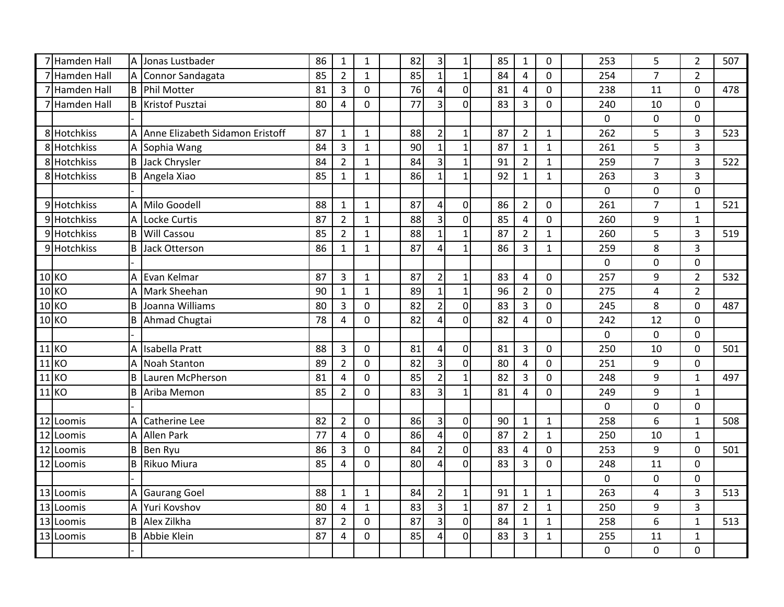| 7 Hamden Hall | A           | Jonas Lustbader                   | 86 | $\mathbf{1}$   | $\mathbf{1}$   | 82 | $\mathsf 3$             | $\mathbf 1$    | 85 | $\mathbf{1}$   | $\mathbf 0$    | 253         | 5              | $\overline{2}$ | 507 |
|---------------|-------------|-----------------------------------|----|----------------|----------------|----|-------------------------|----------------|----|----------------|----------------|-------------|----------------|----------------|-----|
| 7 Hamden Hall | A           | Connor Sandagata                  | 85 | $\overline{2}$ | $\mathbf{1}$   | 85 | $\mathbf{1}$            | $\mathbf{1}$   | 84 | 4              | $\mathbf 0$    | 254         | $\overline{7}$ | $\overline{2}$ |     |
| 7 Hamden Hall | <b>B</b>    | Phil Motter                       | 81 | 3              | 0              | 76 | 4                       | $\mathbf 0$    | 81 | $\overline{4}$ | $\mathbf 0$    | 238         | 11             | $\overline{0}$ | 478 |
| 7 Hamden Hall |             | <b>B</b> Kristof Pusztai          | 80 | $\overline{4}$ | 0              | 77 | 3                       | $\overline{0}$ | 83 | 3              | $\overline{0}$ | 240         | 10             | $\overline{0}$ |     |
|               |             |                                   |    |                |                |    |                         |                |    |                |                | $\mathbf 0$ | $\mathbf 0$    | 0              |     |
| 8 Hotchkiss   |             | A Anne Elizabeth Sidamon Eristoff | 87 | $\mathbf{1}$   | $\mathbf{1}$   | 88 | $\overline{2}$          | $\mathbf{1}$   | 87 | $\overline{2}$ | $\mathbf{1}$   | 262         | 5              | 3              | 523 |
| 8 Hotchkiss   | Α           | Sophia Wang                       | 84 | 3              | $\mathbf{1}$   | 90 | $\mathbf{1}$            | $\mathbf{1}$   | 87 | $\mathbf{1}$   | $\mathbf{1}$   | 261         | 5              | 3              |     |
| 8 Hotchkiss   | B           | Jack Chrysler                     | 84 | $\overline{2}$ | $\mathbf{1}$   | 84 | 3                       | $\mathbf{1}$   | 91 | $\overline{2}$ | $\mathbf{1}$   | 259         | $\overline{7}$ | 3              | 522 |
| 8 Hotchkiss   | B           | Angela Xiao                       | 85 | $\mathbf{1}$   | $\mathbf{1}$   | 86 | $\mathbf{1}$            | $\mathbf{1}$   | 92 | $\mathbf{1}$   | $\mathbf{1}$   | 263         | 3              | 3              |     |
|               |             |                                   |    |                |                |    |                         |                |    |                |                | $\mathbf 0$ | $\mathbf 0$    | $\mathbf 0$    |     |
| 9 Hotchkiss   | A           | Milo Goodell                      | 88 | $\mathbf{1}$   | $\mathbf{1}$   | 87 | $\overline{\mathbf{4}}$ | $\mathbf{0}$   | 86 | $\overline{2}$ | $\mathbf 0$    | 261         | $\overline{7}$ | $\mathbf{1}$   | 521 |
| 9 Hotchkiss   | A           | Locke Curtis                      | 87 | $\overline{2}$ | $\mathbf{1}$   | 88 | 3                       | $\mathbf 0$    | 85 | $\overline{4}$ | $\mathbf 0$    | 260         | 9              | 1              |     |
| 9 Hotchkiss   | $\mathsf B$ | <b>Will Cassou</b>                | 85 | $\overline{2}$ | $\mathbf{1}$   | 88 | $\mathbf{1}$            | $\mathbf 1$    | 87 | $\overline{2}$ | $\mathbf{1}$   | 260         | 5              | 3              | 519 |
| 9 Hotchkiss   | B           | Jack Otterson                     | 86 | $\mathbf{1}$   | $\mathbf{1}$   | 87 | 4                       | $\mathbf{1}$   | 86 | $\overline{3}$ | $\mathbf{1}$   | 259         | 8              | 3              |     |
|               |             |                                   |    |                |                |    |                         |                |    |                |                | 0           | $\mathbf 0$    | $\overline{0}$ |     |
| 10 KO         | Α           | Evan Kelmar                       | 87 | 3              | $\mathbf{1}$   | 87 | $\overline{2}$          | $\mathbf{1}$   | 83 | $\overline{a}$ | $\mathbf 0$    | 257         | 9              | $\overline{2}$ | 532 |
| $10$ KO       | A           | Mark Sheehan                      | 90 | $\mathbf{1}$   | $\mathbf{1}$   | 89 | $\mathbf{1}$            | $\mathbf 1$    | 96 | $\overline{2}$ | $\mathbf 0$    | 275         | 4              | $\overline{2}$ |     |
| 10 KO         | B           | Joanna Williams                   | 80 | 3              | 0              | 82 | $\overline{2}$          | $\mathbf 0$    | 83 | 3              | $\mathbf 0$    | 245         | 8              | $\overline{0}$ | 487 |
| <b>10 KO</b>  | B           | Ahmad Chugtai                     | 78 | $\overline{4}$ | 0              | 82 | 4                       | $\overline{0}$ | 82 | $\overline{4}$ | 0              | 242         | 12             | $\overline{0}$ |     |
|               |             |                                   |    |                |                |    |                         |                |    |                |                | 0           | $\overline{0}$ | 0              |     |
| 11 KO         |             | A Isabella Pratt                  | 88 | 3              | $\mathbf 0$    | 81 | $\overline{4}$          | $\mathbf 0$    | 81 | $\overline{3}$ | $\mathbf 0$    | 250         | 10             | 0              | 501 |
| $11$ KO       | A           | <b>Noah Stanton</b>               | 89 | $\overline{2}$ | 0              | 82 | 3                       | $\mathbf 0$    | 80 | $\overline{4}$ | $\mathbf{0}$   | 251         | 9              | $\overline{0}$ |     |
| $11K$ O       | B           | Lauren McPherson                  | 81 | 4              | $\overline{0}$ | 85 | $\overline{2}$          | $\mathbf{1}$   | 82 | $\overline{3}$ | $\mathbf{0}$   | 248         | 9              | $\mathbf{1}$   | 497 |
| 11 KO         | B           | Ariba Memon                       | 85 | $\overline{2}$ | $\overline{0}$ | 83 | 3                       | $\mathbf{1}$   | 81 | 4              | $\mathbf 0$    | 249         | 9              | $\mathbf{1}$   |     |
|               |             |                                   |    |                |                |    |                         |                |    |                |                | 0           | $\mathbf 0$    | $\overline{0}$ |     |
| 12 Loomis     | A           | <b>Catherine Lee</b>              | 82 | $\overline{2}$ | 0              | 86 | $\overline{\mathbf{3}}$ | $\mathbf 0$    | 90 | $\mathbf{1}$   | $\mathbf{1}$   | 258         | 6              | $\mathbf{1}$   | 508 |
| 12 Loomis     | A           | <b>Allen Park</b>                 | 77 | 4              | 0              | 86 | 4                       | $\mathbf 0$    | 87 | $\overline{2}$ | $\mathbf{1}$   | 250         | 10             | $\mathbf{1}$   |     |
| 12 Loomis     | B           | Ben Ryu                           | 86 | 3              | 0              | 84 | $\overline{2}$          | $\mathbf 0$    | 83 | $\overline{4}$ | $\mathbf 0$    | 253         | 9              | $\overline{0}$ | 501 |
| 12 Loomis     | B           | Rikuo Miura                       | 85 | 4              | 0              | 80 | 4                       | $\overline{0}$ | 83 | $\overline{3}$ | $\mathbf 0$    | 248         | 11             | $\mathbf 0$    |     |
|               |             |                                   |    |                |                |    |                         |                |    |                |                | 0           | $\mathbf 0$    | $\mathbf 0$    |     |
| 13 Loomis     | Α           | <b>Gaurang Goel</b>               | 88 | $\mathbf{1}$   | $\mathbf{1}$   | 84 | $\overline{2}$          | $\mathbf{1}$   | 91 | $\mathbf{1}$   | $\mathbf{1}$   | 263         | 4              | 3              | 513 |
| 13 Loomis     | A           | Yuri Kovshov                      | 80 | 4              | $\mathbf{1}$   | 83 | $\overline{\mathbf{3}}$ | $\mathbf 1$    | 87 | $\overline{2}$ | $\mathbf{1}$   | 250         | 9              | 3              |     |
| 13 Loomis     | B           | Alex Zilkha                       | 87 | $\overline{2}$ | 0              | 87 | 3                       | $\mathbf 0$    | 84 | $\mathbf{1}$   | $\mathbf{1}$   | 258         | 6              | $\mathbf{1}$   | 513 |
| 13 Loomis     | B           | Abbie Klein                       | 87 | 4              | 0              | 85 | 4                       | $\overline{0}$ | 83 | 3              | $\mathbf{1}$   | 255         | 11             | $\mathbf{1}$   |     |
|               |             |                                   |    |                |                |    |                         |                |    |                |                | $\mathbf 0$ | $\mathbf 0$    | $\mathbf 0$    |     |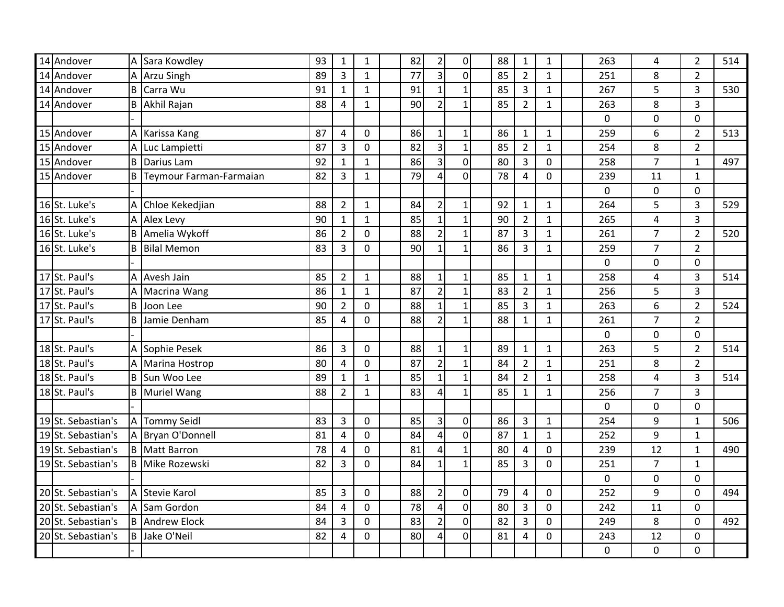| 14 Andover         | Α              | Sara Kowdley            | 93 | $\mathbf 1$    | $\mathbf{1}$   | 82 | $\overline{2}$          | $\overline{0}$   | 88 | $\mathbf{1}$   | $\mathbf{1}$ | 263 | 4              | $\overline{2}$ | 514 |
|--------------------|----------------|-------------------------|----|----------------|----------------|----|-------------------------|------------------|----|----------------|--------------|-----|----------------|----------------|-----|
| 14 Andover         | A              | <b>Arzu Singh</b>       | 89 | 3              | $\mathbf{1}$   | 77 | $\overline{3}$          | $\overline{0}$   | 85 | $\overline{2}$ | $\mathbf{1}$ | 251 | 8              | $\overline{2}$ |     |
| 14 Andover         | B              | Carra Wu                | 91 | $\mathbf{1}$   | $\mathbf{1}$   | 91 | $\mathbf{1}$            | $\mathbf{1}$     | 85 | $\overline{3}$ | $\mathbf{1}$ | 267 | 5              | 3              | 530 |
| 14 Andover         | B              | Akhil Rajan             | 88 | $\overline{4}$ | $\mathbf{1}$   | 90 | $\overline{2}$          | $\mathbf{1}$     | 85 | $\overline{2}$ | $\mathbf{1}$ | 263 | 8              | 3              |     |
|                    |                |                         |    |                |                |    |                         |                  |    |                |              | 0   | $\mathbf 0$    | $\overline{0}$ |     |
| 15 Andover         | A              | Karissa Kang            | 87 | 4              | $\mathbf 0$    | 86 | $\mathbf 1$             | $\mathbf{1}$     | 86 | $\mathbf{1}$   | $\mathbf{1}$ | 259 | 6              | $\overline{2}$ | 513 |
| 15 Andover         | A              | Luc Lampietti           | 87 | 3              | $\overline{0}$ | 82 | 3                       | $\mathbf{1}$     | 85 | $\overline{2}$ | $\mathbf{1}$ | 254 | 8              | $\overline{2}$ |     |
| 15 Andover         | $\sf B$        | Darius Lam              | 92 | $\mathbf{1}$   | $\mathbf{1}$   | 86 | 3                       | $\mathbf 0$      | 80 | 3              | $\mathbf 0$  | 258 | $\overline{7}$ | $\mathbf{1}$   | 497 |
| 15 Andover         | B              | Teymour Farman-Farmaian | 82 | 3              | $\mathbf{1}$   | 79 | 4                       | $\overline{0}$   | 78 | 4              | $\mathbf 0$  | 239 | 11             | $\mathbf{1}$   |     |
|                    |                |                         |    |                |                |    |                         |                  |    |                |              | 0   | $\mathbf 0$    | $\overline{0}$ |     |
| 16 St. Luke's      | A              | Chloe Kekedjian         | 88 | $\overline{2}$ | $\mathbf{1}$   | 84 | $\overline{2}$          | $\mathbf 1$      | 92 | $\mathbf{1}$   | $\mathbf{1}$ | 264 | 5              | 3              | 529 |
| 16 St. Luke's      |                | A Alex Levy             | 90 | $\mathbf{1}$   | $\mathbf{1}$   | 85 | $\mathbf{1}$            | $\mathbf{1}$     | 90 | $\overline{2}$ | $\mathbf{1}$ | 265 | $\overline{4}$ | 3              |     |
| 16 St. Luke's      | B              | Amelia Wykoff           | 86 | $\overline{2}$ | 0              | 88 | $\overline{2}$          | $\mathbf 1$      | 87 | $\overline{3}$ | $\mathbf{1}$ | 261 | $\overline{7}$ | $\overline{2}$ | 520 |
| 16 St. Luke's      | B              | <b>Bilal Memon</b>      | 83 | $\overline{3}$ | 0              | 90 | $\mathbf{1}$            | $\mathbf{1}$     | 86 | 3              | $\mathbf{1}$ | 259 | $\overline{7}$ | $\overline{2}$ |     |
|                    |                |                         |    |                |                |    |                         |                  |    |                |              | 0   | $\overline{0}$ | $\Omega$       |     |
| 17 St. Paul's      | A              | Avesh Jain              | 85 | $\overline{2}$ | $\mathbf{1}$   | 88 | $\mathbf 1$             | $\mathbf{1}$     | 85 | $\mathbf{1}$   | $\mathbf{1}$ | 258 | 4              | 3              | 514 |
| 17 St. Paul's      | Α              | Macrina Wang            | 86 | $\mathbf{1}$   | $\mathbf{1}$   | 87 | $\overline{2}$          | $\mathbf{1}$     | 83 | $\overline{2}$ | $\mathbf{1}$ | 256 | 5              | $\overline{3}$ |     |
| 17 St. Paul's      | B              | Joon Lee                | 90 | $\overline{2}$ | 0              | 88 | $\mathbf{1}$            | $\mathbf{1}$     | 85 | 3              | $\mathbf{1}$ | 263 | 6              | $\overline{2}$ | 524 |
| 17 St. Paul's      | B              | Jamie Denham            | 85 | $\overline{4}$ | $\overline{0}$ | 88 | $\overline{2}$          | $\mathbf{1}$     | 88 | $\mathbf{1}$   | $\mathbf{1}$ | 261 | $\overline{7}$ | $\overline{2}$ |     |
|                    |                |                         |    |                |                |    |                         |                  |    |                |              | 0   | $\mathbf 0$    | $\mathbf 0$    |     |
| 18 St. Paul's      |                | A Sophie Pesek          | 86 | 3              | 0              | 88 | $\mathbf 1$             | $\mathbf 1$      | 89 | $\mathbf{1}$   | $\mathbf 1$  | 263 | 5              | $\overline{2}$ | 514 |
| 18 St. Paul's      | A              | Marina Hostrop          | 80 | $\overline{4}$ | 0              | 87 | $\overline{2}$          | $\mathbf{1}$     | 84 | $\overline{2}$ | $\mathbf 1$  | 251 | 8              | $\overline{2}$ |     |
| 18 St. Paul's      | B              | Sun Woo Lee             | 89 | $\mathbf{1}$   | $\mathbf{1}$   | 85 | $\mathbf{1}$            | $\mathbf{1}$     | 84 | $\overline{2}$ | $\mathbf{1}$ | 258 | $\overline{4}$ | 3              | 514 |
| 18 St. Paul's      | B              | <b>Muriel Wang</b>      | 88 | $\overline{2}$ | $\mathbf{1}$   | 83 | 4                       | $\mathbf{1}$     | 85 | $\mathbf{1}$   | 1            | 256 | $\overline{7}$ | 3              |     |
|                    |                |                         |    |                |                |    |                         |                  |    |                |              | 0   | $\pmb{0}$      | $\mathbf 0$    |     |
| 19 St. Sebastian's | A              | <b>Tommy Seidl</b>      | 83 | 3              | $\mathbf 0$    | 85 | 3                       | $\mathbf 0$      | 86 | $\overline{3}$ | $\mathbf{1}$ | 254 | 9              | $\mathbf{1}$   | 506 |
| 19 St. Sebastian's | A              | Bryan O'Donnell         | 81 | $\overline{4}$ | 0              | 84 | 4                       | $\mathbf 0$      | 87 | $\mathbf{1}$   | $\mathbf{1}$ | 252 | 9              | $\mathbf{1}$   |     |
| 19 St. Sebastian's | B              | <b>Matt Barron</b>      | 78 | $\overline{4}$ | 0              | 81 | 4                       | $\mathbf{1}$     | 80 | $\overline{4}$ | $\mathbf 0$  | 239 | 12             | $\mathbf{1}$   | 490 |
| 19 St. Sebastian's | B              | Mike Rozewski           | 82 | 3              | $\overline{0}$ | 84 | $\mathbf{1}$            | $\mathbf{1}$     | 85 | $\overline{3}$ | $\mathbf{0}$ | 251 | $\overline{7}$ | $\mathbf 1$    |     |
|                    |                |                         |    |                |                |    |                         |                  |    |                |              | 0   | $\mathbf 0$    | $\mathbf 0$    |     |
| 20 St. Sebastian's | $\overline{A}$ | <b>Stevie Karol</b>     | 85 | $\overline{3}$ | 0              | 88 | $\overline{2}$          | $\boldsymbol{0}$ | 79 | $\overline{4}$ | $\mathbf 0$  | 252 | 9              | $\overline{0}$ | 494 |
| 20 St. Sebastian's | A              | Sam Gordon              | 84 | $\overline{4}$ | 0              | 78 | $\overline{\mathbf{4}}$ | $\boldsymbol{0}$ | 80 | $\overline{3}$ | $\mathbf 0$  | 242 | 11             | $\mathbf 0$    |     |
| 20 St. Sebastian's | B              | <b>Andrew Elock</b>     | 84 | 3              | 0              | 83 | $\overline{2}$          | $\mathbf 0$      | 82 | $\overline{3}$ | $\mathbf 0$  | 249 | 8              | $\overline{0}$ | 492 |
| 20 St. Sebastian's | B              | Jake O'Neil             | 82 | 4              | 0              | 80 | 4                       | $\mathbf 0$      | 81 | 4              | 0            | 243 | 12             | 0              |     |
|                    |                |                         |    |                |                |    |                         |                  |    |                |              | 0   | $\mathbf 0$    | $\overline{0}$ |     |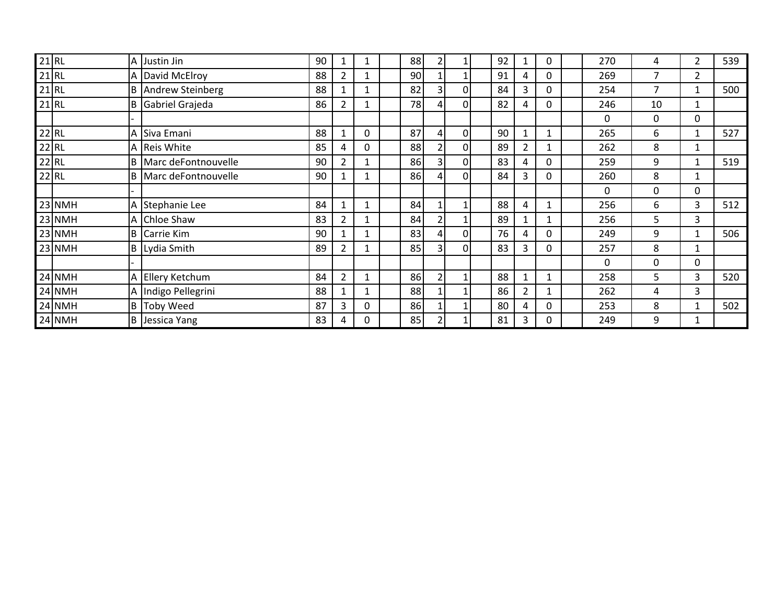| $21$ RL |          |     | A Justin Jin          | 90 | 1              |   | 88 | 2              |                | 92 |                | 0 | 270 | 4           | 2            | 539 |
|---------|----------|-----|-----------------------|----|----------------|---|----|----------------|----------------|----|----------------|---|-----|-------------|--------------|-----|
| $21$ RL |          |     | A David McElroy       | 88 | $\overline{2}$ |   | 90 |                |                | 91 | 4              | 0 | 269 | 7           | 2            |     |
| $21$ RL |          |     | B Andrew Steinberg    | 88 | 1              |   | 82 | 3              | $\Omega$       | 84 | 3              | 0 | 254 | 7           | 1            | 500 |
| $21$ RL |          | IB. | Gabriel Grajeda       | 86 | $\overline{2}$ |   | 78 | 4              | $\Omega$       | 82 | 4              | 0 | 246 | 10          | 1            |     |
|         |          |     |                       |    |                |   |    |                |                |    |                |   | 0   | $\mathbf 0$ | 0            |     |
| $22$ RL |          |     | A Siva Emani          | 88 | $\mathbf{1}$   | 0 | 87 | 4              | 0              | 90 |                |   | 265 | 6           | 1            | 527 |
| $22$ RL |          |     | A Reis White          | 85 | 4              |   | 88 | $\overline{2}$ | 01             | 89 | $\overline{2}$ |   | 262 | 8           | $\mathbf 1$  |     |
| $22$ RL |          |     | B Marc deFontnouvelle | 90 | $\overline{2}$ |   | 86 | $\overline{3}$ | $\overline{0}$ | 83 | 4              | 0 | 259 | 9           | $\mathbf 1$  | 519 |
| $22$ RL |          |     | B Marc deFontnouvelle | 90 | 1              |   | 86 | 4              | $\Omega$       | 84 | 3              | 0 | 260 | 8           | 1            |     |
|         |          |     |                       |    |                |   |    |                |                |    |                |   | 0   | 0           | 0            |     |
|         | $23$ NMH |     | A Stephanie Lee       | 84 | $\mathbf{1}$   |   | 84 |                |                | 88 | 4              |   | 256 | 6           | 3            | 512 |
|         | $23$ NMH |     | A Chloe Shaw          | 83 | $\overline{2}$ |   | 84 | 2              |                | 89 |                | 1 | 256 | 5           | 3            |     |
|         | $23$ NMH | ΙB  | Carrie Kim            | 90 | 1              |   | 83 | 4              | $\Omega$       | 76 | 4              | 0 | 249 | 9           | 1            | 506 |
|         | $23$ NMH |     | B Lydia Smith         | 89 | $\overline{2}$ |   | 85 | $\overline{3}$ | Οl             | 83 | 3              | 0 | 257 | 8           | 1            |     |
|         |          |     |                       |    |                |   |    |                |                |    |                |   | 0   | $\Omega$    | 0            |     |
|         | $24$ NMH |     | A Ellery Ketchum      | 84 | $\overline{2}$ |   | 86 | $\overline{2}$ |                | 88 |                | 1 | 258 | 5           | 3            | 520 |
|         | $24$ NMH |     | A Indigo Pellegrini   | 88 | 1              |   | 88 |                |                | 86 | 2              |   | 262 | 4           | 3            |     |
|         | 24 NMH   | B   | <b>Toby Weed</b>      | 87 | 3              |   | 86 |                |                | 80 | 4              | 0 | 253 | 8           | $\mathbf{1}$ | 502 |
|         | $24$ NMH | B   | Jessica Yang          | 83 | 4              |   | 85 | 2              |                | 81 | 3              | 0 | 249 | 9           | 1            |     |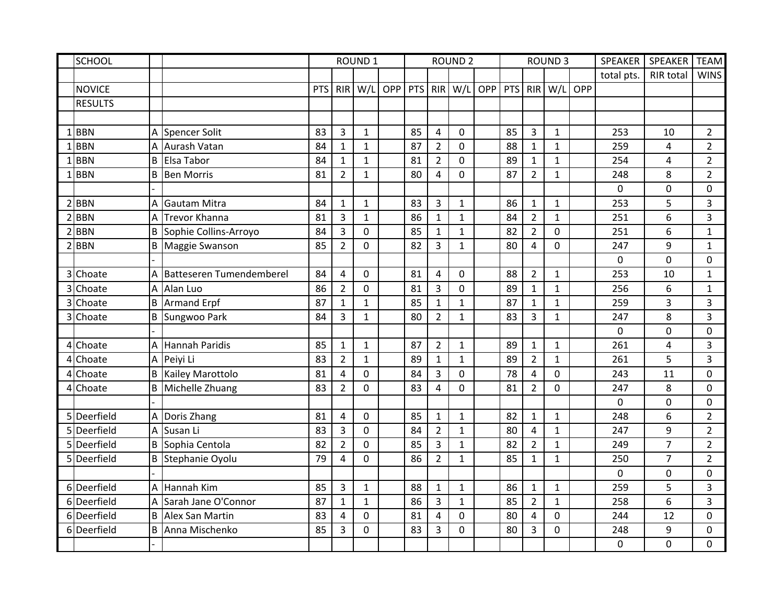|   | SCHOOL         |   |                                | <b>ROUND 1</b> |                |                |     |     |                | <b>ROUND 2</b> |            |            |                         | <b>ROUND 3</b> |     | <b>SPEAKER</b> | SPEAKER          | <b>TEAM</b>    |
|---|----------------|---|--------------------------------|----------------|----------------|----------------|-----|-----|----------------|----------------|------------|------------|-------------------------|----------------|-----|----------------|------------------|----------------|
|   |                |   |                                |                |                |                |     |     |                |                |            |            |                         |                |     | total pts.     | <b>RIR total</b> | <b>WINS</b>    |
|   | <b>NOVICE</b>  |   |                                | PTS            | <b>RIR</b>     | W/L            | OPP | PTS | RIR            | W/L            | <b>OPP</b> | <b>PTS</b> | <b>RIR</b>              | W/L            | OPP |                |                  |                |
|   | <b>RESULTS</b> |   |                                |                |                |                |     |     |                |                |            |            |                         |                |     |                |                  |                |
|   |                |   |                                |                |                |                |     |     |                |                |            |            |                         |                |     |                |                  |                |
|   | $1$ BBN        |   | A Spencer Solit                | 83             | $\overline{3}$ | $\mathbf{1}$   |     | 85  | $\overline{4}$ | $\Omega$       |            | 85         | 3                       | $\mathbf{1}$   |     | 253            | 10               | $\overline{2}$ |
|   | $1$ BBN        | А | Aurash Vatan                   | 84             | $\mathbf{1}$   | $\mathbf{1}$   |     | 87  | $\overline{2}$ | $\mathbf 0$    |            | 88         | $\mathbf{1}$            | $\mathbf{1}$   |     | 259            | 4                | $\overline{2}$ |
|   | <b>BBN</b>     | B | Elsa Tabor                     | 84             | $\mathbf{1}$   | $\mathbf{1}$   |     | 81  | $\overline{2}$ | $\overline{0}$ |            | 89         | $\mathbf{1}$            | $\mathbf 1$    |     | 254            | 4                | $\overline{2}$ |
|   | <b>BBN</b>     | B | <b>Ben Morris</b>              | 81             | $\overline{2}$ | $\mathbf{1}$   |     | 80  | $\overline{4}$ | $\overline{0}$ |            | 87         | $\overline{2}$          | 1              |     | 248            | 8                | $\overline{2}$ |
|   |                |   |                                |                |                |                |     |     |                |                |            |            |                         |                |     | 0              | $\mathbf 0$      | 0              |
| 2 | <b>BBN</b>     | А | Gautam Mitra                   | 84             | $\mathbf{1}$   | $\mathbf{1}$   |     | 83  | 3              | $\mathbf{1}$   |            | 86         | $\mathbf{1}$            | $\mathbf{1}$   |     | 253            | 5                | 3              |
|   | <b>BBN</b>     | A | Trevor Khanna                  | 81             | $\overline{3}$ | $\mathbf{1}$   |     | 86  | $\mathbf{1}$   | $\mathbf{1}$   |            | 84         | $\overline{2}$          | $\mathbf{1}$   |     | 251            | 6                | 3              |
|   | $2$ <b>BBN</b> |   | <b>B</b> Sophie Collins-Arroyo | 84             | $\overline{3}$ | $\mathbf 0$    |     | 85  | $\mathbf 1$    | $\mathbf{1}$   |            | 82         | $\overline{2}$          | 0              |     | 251            | 6                | $\mathbf{1}$   |
|   | $2$ <b>BBN</b> |   | <b>B</b> Maggie Swanson        | 85             | $\overline{2}$ | $\mathbf 0$    |     | 82  | 3              | $\mathbf{1}$   |            | 80         | 4                       | $\mathbf 0$    |     | 247            | 9                | $\mathbf{1}$   |
|   |                |   |                                |                |                |                |     |     |                |                |            |            |                         |                |     | 0              | $\mathbf 0$      | $\Omega$       |
| 3 | Choate         | А | Batteseren Tumendemberel       | 84             | $\overline{4}$ | $\mathbf 0$    |     | 81  | $\overline{4}$ | $\mathbf 0$    |            | 88         | $\overline{2}$          | $\mathbf{1}$   |     | 253            | 10               | $\mathbf{1}$   |
| 3 | Choate         | А | Alan Luo                       | 86             | $\overline{2}$ | $\overline{0}$ |     | 81  | 3              | $\overline{0}$ |            | 89         | $\mathbf{1}$            | $\mathbf{1}$   |     | 256            | 6                | $\mathbf{1}$   |
| 3 | Choate         |   | <b>B</b> Armand Erpf           | 87             | $\mathbf{1}$   | $\mathbf{1}$   |     | 85  | $\mathbf{1}$   | $\mathbf{1}$   |            | 87         | $\mathbf{1}$            | $\mathbf{1}$   |     | 259            | 3                | 3              |
| 3 | Choate         |   | <b>B</b> Sungwoo Park          | 84             | 3              | $\mathbf{1}$   |     | 80  | $\overline{2}$ | $\mathbf{1}$   |            | 83         | 3                       | $\mathbf{1}$   |     | 247            | 8                | 3              |
|   |                |   |                                |                |                |                |     |     |                |                |            |            |                         |                |     | 0              | $\mathbf 0$      | $\mathbf 0$    |
|   | 4 Choate       |   | A Hannah Paridis               | 85             | $\mathbf{1}$   | $\mathbf{1}$   |     | 87  | $\overline{2}$ | $\mathbf{1}$   |            | 89         | $\mathbf{1}$            | $\mathbf{1}$   |     | 261            | 4                | 3              |
| 4 | Choate         |   | A Peiyi Li                     | 83             | $\overline{2}$ | $\mathbf{1}$   |     | 89  | $\mathbf{1}$   | $\mathbf{1}$   |            | 89         | $\overline{2}$          | $\mathbf{1}$   |     | 261            | 5                | 3              |
| 4 | Choate         | В | Kailey Marottolo               | 81             | 4              | $\mathbf 0$    |     | 84  | 3              | $\overline{0}$ |            | 78         | $\overline{4}$          | $\overline{0}$ |     | 243            | 11               | $\mathbf 0$    |
| 4 | Choate         | В | Michelle Zhuang                | 83             | $\overline{2}$ | $\mathbf 0$    |     | 83  | 4              | $\overline{0}$ |            | 81         | $\overline{2}$          | $\mathbf 0$    |     | 247            | 8                | 0              |
|   |                |   |                                |                |                |                |     |     |                |                |            |            |                         |                |     | 0              | $\boldsymbol{0}$ | 0              |
|   | 5 Deerfield    | А | Doris Zhang                    | 81             | 4              | $\mathbf 0$    |     | 85  | $\mathbf 1$    | $\mathbf{1}$   |            | 82         | $\mathbf{1}$            | $\mathbf{1}$   |     | 248            | 6                | $\overline{2}$ |
| 5 | Deerfield      | A | Susan Li                       | 83             | $\overline{3}$ | $\overline{0}$ |     | 84  | $\overline{2}$ | $\mathbf{1}$   |            | 80         | $\overline{\mathbf{4}}$ | $\mathbf{1}$   |     | 247            | 9                | $\overline{2}$ |
|   | 5 Deerfield    | B | Sophia Centola                 | 82             | $\overline{2}$ | $\mathbf 0$    |     | 85  | 3              | $\mathbf{1}$   |            | 82         | $\overline{2}$          | $\mathbf 1$    |     | 249            | $\overline{7}$   | $\overline{2}$ |
|   | 5 Deerfield    |   | <b>B</b> Stephanie Oyolu       | 79             | 4              | $\mathbf 0$    |     | 86  | $\overline{2}$ | $\mathbf{1}$   |            | 85         | $\mathbf 1$             | $\mathbf{1}$   |     | 250            | $\overline{7}$   | $\overline{2}$ |
|   |                |   |                                |                |                |                |     |     |                |                |            |            |                         |                |     | 0              | $\mathbf 0$      | 0              |
|   | 6Deerfield     | Α | Hannah Kim                     | 85             | $\overline{3}$ | $\mathbf{1}$   |     | 88  | $\mathbf{1}$   | $\mathbf{1}$   |            | 86         | $\mathbf{1}$            | $\mathbf{1}$   |     | 259            | 5                | $\overline{3}$ |
|   | 6Deerfield     | A | Sarah Jane O'Connor            | 87             | $\mathbf{1}$   | $\mathbf{1}$   |     | 86  | $\overline{3}$ | $\mathbf{1}$   |            | 85         | $\overline{2}$          | $\mathbf{1}$   |     | 258            | 6                | 3              |
| 6 | Deerfield      | B | Alex San Martin                | 83             | 4              | 0              |     | 81  | 4              | $\mathbf 0$    |            | 80         | 4                       | $\Omega$       |     | 244            | 12               | 0              |
|   | 6Deerfield     | B | Anna Mischenko                 | 85             | 3              | 0              |     | 83  | 3              | $\mathbf 0$    |            | 80         | 3                       | 0              |     | 248            | 9                | 0              |
|   |                |   |                                |                |                |                |     |     |                |                |            |            |                         |                |     | 0              | 0                | 0              |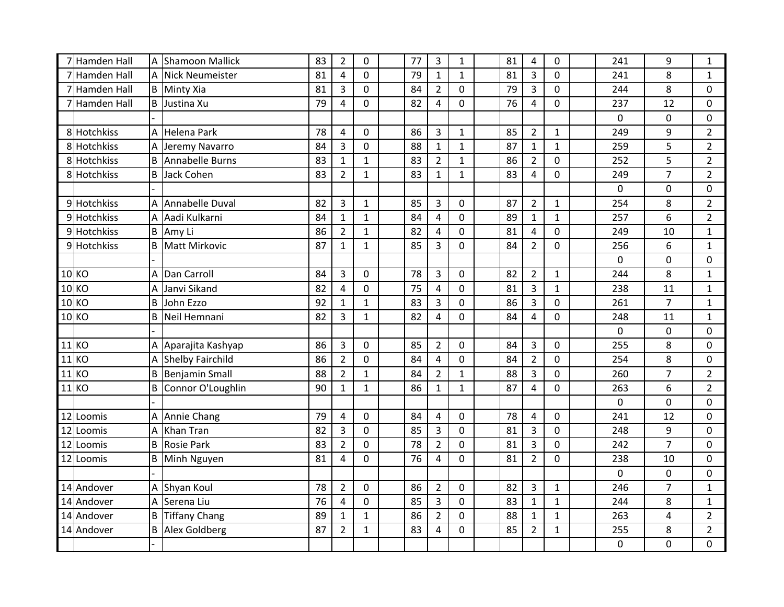| 7  | Hamden Hall   | Α       | <b>Shamoon Mallick</b>  | 83 | $\overline{2}$ | $\mathbf 0$  | 77 | $\mathbf{3}$   | $\mathbf{1}$   | 81 | 4              | 0            | 241            | 9              | 1              |
|----|---------------|---------|-------------------------|----|----------------|--------------|----|----------------|----------------|----|----------------|--------------|----------------|----------------|----------------|
|    | Hamden Hall   | А       | <b>Nick Neumeister</b>  | 81 | $\overline{4}$ | $\mathbf 0$  | 79 | $\mathbf{1}$   | $\mathbf{1}$   | 81 | 3              | 0            | 241            | 8              | $\mathbf{1}$   |
|    | Hamden Hall   |         | <b>B</b> Minty Xia      | 81 | 3              | $\mathbf{0}$ | 84 | $\overline{2}$ | $\mathbf 0$    | 79 | $\overline{3}$ | 0            | 244            | 8              | 0              |
|    | 7 Hamden Hall |         | <b>B</b> Justina Xu     | 79 | $\overline{4}$ | $\mathbf 0$  | 82 | $\overline{4}$ | $\mathbf 0$    | 76 | 4              | 0            | 237            | 12             | 0              |
|    |               |         |                         |    |                |              |    |                |                |    |                |              | 0              | 0              | 0              |
|    | 8 Hotchkiss   |         | A Helena Park           | 78 | 4              | 0            | 86 | 3              | $\mathbf{1}$   | 85 | $\overline{2}$ | $\mathbf{1}$ | 249            | 9              | $\overline{2}$ |
|    | 8 Hotchkiss   | А       | Jeremy Navarro          | 84 | $\overline{3}$ | $\mathbf 0$  | 88 | $\mathbf{1}$   | $\mathbf 1$    | 87 | $\mathbf{1}$   | $\mathbf{1}$ | 259            | 5              | $\overline{2}$ |
|    | 8 Hotchkiss   | B       | Annabelle Burns         | 83 | $\mathbf{1}$   | $\mathbf{1}$ | 83 | $\overline{2}$ | $\mathbf 1$    | 86 | $\overline{2}$ | 0            | 252            | 5              | $\overline{2}$ |
|    | 8 Hotchkiss   | B       | Jack Cohen              | 83 | $\overline{2}$ | $\mathbf{1}$ | 83 | $\mathbf{1}$   | $\mathbf 1$    | 83 | 4              | 0            | 249            | $\overline{7}$ | $\overline{2}$ |
|    |               |         |                         |    |                |              |    |                |                |    |                |              | $\mathbf 0$    | 0              | 0              |
|    | 9 Hotchkiss   | Α       | Annabelle Duval         | 82 | 3              | $\mathbf{1}$ | 85 | 3              | $\mathbf 0$    | 87 | $\overline{2}$ | $\mathbf{1}$ | 254            | 8              | $\overline{2}$ |
|    | 9 Hotchkiss   | A       | Aadi Kulkarni           | 84 | $\mathbf{1}$   | $\mathbf{1}$ | 84 | $\overline{4}$ | $\mathbf 0$    | 89 | $\mathbf{1}$   | $\mathbf{1}$ | 257            | 6              | $\overline{2}$ |
|    | 9 Hotchkiss   |         | <b>B</b> Amy Li         | 86 | $\overline{2}$ | $\mathbf{1}$ | 82 | $\overline{4}$ | $\mathbf 0$    | 81 | 4              | $\mathbf 0$  | 249            | 10             | $\mathbf{1}$   |
|    | 9 Hotchkiss   | B       | Matt Mirkovic           | 87 | $\mathbf{1}$   | $\mathbf{1}$ | 85 | 3              | $\mathbf 0$    | 84 | $\overline{2}$ | $\mathbf 0$  | 256            | 6              | $\mathbf{1}$   |
|    |               |         |                         |    |                |              |    |                |                |    |                |              | 0              | $\mathbf 0$    | $\mathbf 0$    |
|    | 10 KO         | Α       | Dan Carroll             | 84 | $\mathbf{3}$   | $\mathbf 0$  | 78 | $\mathsf 3$    | $\mathbf 0$    | 82 | $\overline{2}$ | $\mathbf{1}$ | 244            | 8              | $\mathbf{1}$   |
|    | 10 KO         | Α       | Janvi Sikand            | 82 | $\overline{4}$ | $\mathbf 0$  | 75 | 4              | $\pmb{0}$      | 81 | 3              | $\mathbf{1}$ | 238            | 11             | $\mathbf{1}$   |
|    | 10 KO         | B       | John Ezzo               | 92 | $\mathbf{1}$   | $\mathbf{1}$ | 83 | 3              | $\mathbf 0$    | 86 | 3              | 0            | 261            | $\overline{7}$ | $\mathbf{1}$   |
|    | 10K           | B       | Neil Hemnani            | 82 | $\overline{3}$ | $\mathbf{1}$ | 82 | $\overline{4}$ | $\mathbf 0$    | 84 | 4              | 0            | 248            | 11             | $\mathbf{1}$   |
|    |               |         |                         |    |                |              |    |                |                |    |                |              | 0              | $\mathbf 0$    | 0              |
|    | $11$ KO       |         | A Aparajita Kashyap     | 86 | $\overline{3}$ | $\mathbf 0$  | 85 | $\overline{2}$ | $\mathbf 0$    | 84 | 3              | $\mathbf 0$  | 255            | 8              | $\mathbf 0$    |
|    | $11$ KO       | A       | <b>Shelby Fairchild</b> | 86 | $\overline{2}$ | $\mathbf 0$  | 84 | $\overline{4}$ | $\mathbf 0$    | 84 | $\overline{2}$ | 0            | 254            | 8              | 0              |
|    | 11 KO         | $\sf B$ | <b>Benjamin Small</b>   | 88 | $\overline{2}$ | $\mathbf{1}$ | 84 | $\overline{2}$ | $\mathbf{1}$   | 88 | 3              | 0            | 260            | $\overline{7}$ | $\overline{2}$ |
|    | 11 KO         | B       | Connor O'Loughlin       | 90 | $\mathbf{1}$   | $\mathbf{1}$ | 86 | $\mathbf{1}$   | $\mathbf 1$    | 87 | 4              | 0            | 263            | 6              | $\overline{2}$ |
|    |               |         |                         |    |                |              |    |                |                |    |                |              | 0              | $\pmb{0}$      | 0              |
|    | 12 Loomis     | Α       | Annie Chang             | 79 | 4              | 0            | 84 | 4              | $\mathbf 0$    | 78 | 4              | 0            | 241            | 12             | 0              |
| 12 | Loomis        | Α       | <b>Khan Tran</b>        | 82 | 3              | $\mathbf 0$  | 85 | 3              | $\mathbf 0$    | 81 | 3              | 0            | 248            | 9              | 0              |
|    | 12 Loomis     | B       | <b>Rosie Park</b>       | 83 | $\overline{2}$ | $\mathbf 0$  | 78 | $\overline{2}$ | $\mathbf 0$    | 81 | 3              | 0            | 242            | $\overline{7}$ | 0              |
|    | 12 Loomis     | B       | Minh Nguyen             | 81 | $\overline{4}$ | $\mathbf 0$  | 76 | 4              | $\overline{0}$ | 81 | $\overline{2}$ | 0            | 238            | 10             | $\mathbf 0$    |
|    |               |         |                         |    |                |              |    |                |                |    |                |              | $\overline{0}$ | $\mathbf 0$    | $\mathbf 0$    |
|    | 14 Andover    | A       | Shyan Koul              | 78 | $\overline{2}$ | $\mathbf{0}$ | 86 | $\overline{2}$ | $\mathbf 0$    | 82 | 3              | $\mathbf{1}$ | 246            | $\overline{7}$ | $\mathbf{1}$   |
|    | 14 Andover    | A       | Serena Liu              | 76 | 4              | $\mathbf 0$  | 85 | 3              | $\pmb{0}$      | 83 | $\mathbf{1}$   | $\mathbf{1}$ | 244            | 8              | $\mathbf{1}$   |
|    | 14 Andover    | B       | Tiffany Chang           | 89 | $\mathbf{1}$   | $\mathbf{1}$ | 86 | $\overline{2}$ | 0              | 88 | 1              | $\mathbf{1}$ | 263            | 4              | $\overline{2}$ |
|    | 14 Andover    | B       | Alex Goldberg           | 87 | $\overline{2}$ | $\mathbf{1}$ | 83 | 4              | $\mathbf 0$    | 85 | $\overline{2}$ | $\mathbf{1}$ | 255            | 8              | $\overline{2}$ |
|    |               |         |                         |    |                |              |    |                |                |    |                |              | 0              | 0              | 0              |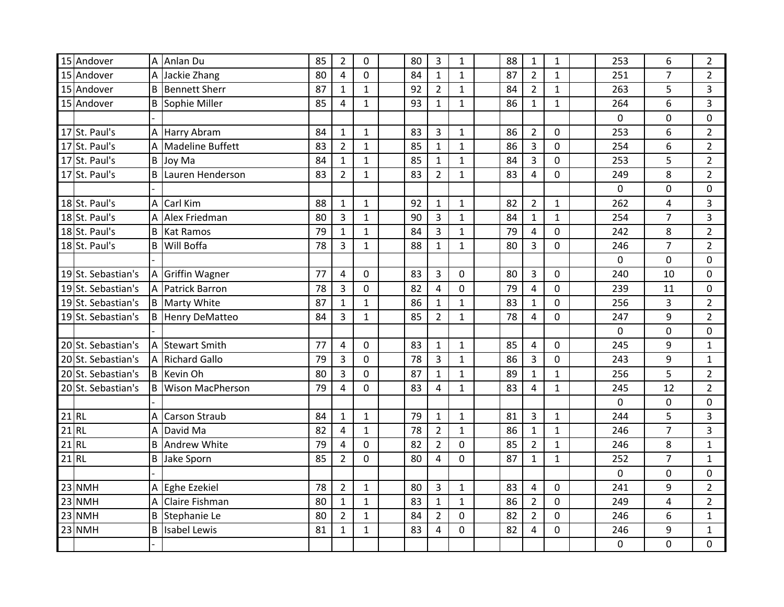| 15 Andover         | A | Anlan Du                | 85 | $\overline{2}$          | $\mathbf 0$    | 80 | $\overline{3}$ | $\mathbf{1}$     | 88 | $\mathbf{1}$   | $\mathbf{1}$ | 253 | 6                       | $\overline{2}$ |
|--------------------|---|-------------------------|----|-------------------------|----------------|----|----------------|------------------|----|----------------|--------------|-----|-------------------------|----------------|
| 15 Andover         | A | Jackie Zhang            | 80 | 4                       | $\Omega$       | 84 | $\mathbf{1}$   | $\mathbf{1}$     | 87 | $\overline{2}$ | $\mathbf{1}$ | 251 | $\overline{7}$          | $\overline{2}$ |
| 15 Andover         | B | <b>Bennett Sherr</b>    | 87 | $\mathbf{1}$            | $\mathbf{1}$   | 92 | $\overline{2}$ | $\mathbf{1}$     | 84 | $\overline{2}$ | $\mathbf{1}$ | 263 | 5                       | $\overline{3}$ |
| 15 Andover         | B | Sophie Miller           | 85 | $\overline{\mathbf{4}}$ | $\mathbf{1}$   | 93 | $\mathbf{1}$   | $\mathbf{1}$     | 86 | $\mathbf{1}$   | $\mathbf{1}$ | 264 | 6                       | 3              |
|                    |   |                         |    |                         |                |    |                |                  |    |                |              | 0   | 0                       | 0              |
| 17 St. Paul's      |   | A Harry Abram           | 84 | $\mathbf{1}$            | $\mathbf{1}$   | 83 | $\overline{3}$ | $\mathbf{1}$     | 86 | $\overline{2}$ | 0            | 253 | 6                       | $\overline{2}$ |
| 17 St. Paul's      | Α | Madeline Buffett        | 83 | $\overline{2}$          | $\mathbf{1}$   | 85 | $\mathbf{1}$   | $\mathbf{1}$     | 86 | 3              | $\mathbf 0$  | 254 | 6                       | $\overline{2}$ |
| 17 St. Paul's      | B | Joy Ma                  | 84 | $\mathbf{1}$            | $\mathbf{1}$   | 85 | $\mathbf{1}$   | $\mathbf{1}$     | 84 | 3              | 0            | 253 | 5                       | $\overline{2}$ |
| 17 St. Paul's      | B | Lauren Henderson        | 83 | $\overline{2}$          | $\mathbf{1}$   | 83 | $\overline{2}$ | $\mathbf{1}$     | 83 | 4              | 0            | 249 | 8                       | $\overline{2}$ |
|                    |   |                         |    |                         |                |    |                |                  |    |                |              | 0   | 0                       | 0              |
| 18 St. Paul's      | A | Carl Kim                | 88 | $\mathbf{1}$            | $\mathbf 1$    | 92 | $\mathbf{1}$   | $\mathbf{1}$     | 82 | $\overline{2}$ | $\mathbf{1}$ | 262 | $\overline{\mathbf{4}}$ | 3              |
| 18 St. Paul's      | Α | Alex Friedman           | 80 | 3                       | $\mathbf{1}$   | 90 | $\overline{3}$ | $\mathbf{1}$     | 84 | $\mathbf{1}$   | $\mathbf{1}$ | 254 | $\overline{7}$          | $\overline{3}$ |
| 18 St. Paul's      | B | <b>Kat Ramos</b>        | 79 | $\mathbf{1}$            | $\mathbf{1}$   | 84 | $\overline{3}$ | $\mathbf{1}$     | 79 | 4              | $\mathbf 0$  | 242 | 8                       | $\overline{2}$ |
| 18 St. Paul's      | B | Will Boffa              | 78 | 3                       | $\mathbf{1}$   | 88 | $\mathbf{1}$   | $\mathbf{1}$     | 80 | 3              | $\mathbf 0$  | 246 | 7                       | $\overline{2}$ |
|                    |   |                         |    |                         |                |    |                |                  |    |                |              | 0   | $\overline{0}$          | $\mathbf 0$    |
| 19 St. Sebastian's | A | <b>Griffin Wagner</b>   | 77 | 4                       | $\mathbf 0$    | 83 | 3              | 0                | 80 | 3              | 0            | 240 | 10                      | 0              |
| 19 St. Sebastian's | A | <b>Patrick Barron</b>   | 78 | 3                       | $\mathbf 0$    | 82 | 4              | $\boldsymbol{0}$ | 79 | 4              | 0            | 239 | 11                      | 0              |
| 19 St. Sebastian's |   | <b>B</b> Marty White    | 87 | $\mathbf{1}$            | $\mathbf{1}$   | 86 | $\mathbf{1}$   | $\mathbf{1}$     | 83 | $\mathbf{1}$   | 0            | 256 | 3                       | $\overline{2}$ |
| 19 St. Sebastian's |   | <b>B</b> Henry DeMatteo | 84 | $\overline{3}$          | $\mathbf{1}$   | 85 | $\overline{2}$ | $\mathbf{1}$     | 78 | $\overline{4}$ | 0            | 247 | 9                       | $\overline{2}$ |
|                    |   |                         |    |                         |                |    |                |                  |    |                |              | 0   | $\mathbf 0$             | 0              |
| 20 St. Sebastian's | A | <b>Stewart Smith</b>    | 77 | $\overline{4}$          | $\mathbf 0$    | 83 | $\mathbf{1}$   | $\mathbf{1}$     | 85 | $\overline{4}$ | 0            | 245 | 9                       | $\mathbf{1}$   |
| 20 St. Sebastian's | A | <b>Richard Gallo</b>    | 79 | 3                       | $\overline{0}$ | 78 | 3              | $\mathbf{1}$     | 86 | 3              | 0            | 243 | 9                       | $\mathbf{1}$   |
| 20 St. Sebastian's | B | Kevin Oh                | 80 | 3                       | $\mathbf 0$    | 87 | $\mathbf{1}$   | $\mathbf{1}$     | 89 | $\mathbf{1}$   | $\mathbf{1}$ | 256 | 5                       | $\overline{2}$ |
| 20 St. Sebastian's | B | <b>Wison MacPherson</b> | 79 | $\overline{4}$          | $\mathbf 0$    | 83 | $\overline{4}$ | $\mathbf{1}$     | 83 | 4              | $\mathbf{1}$ | 245 | 12                      | $\overline{2}$ |
|                    |   |                         |    |                         |                |    |                |                  |    |                |              | 0   | 0                       | 0              |
| $21$ RL            | A | <b>Carson Straub</b>    | 84 | $\mathbf{1}$            | $\mathbf{1}$   | 79 | $\mathbf{1}$   | $\mathbf{1}$     | 81 | 3              | $\mathbf{1}$ | 244 | 5                       | 3              |
| $21$ RL            | A | David Ma                | 82 | 4                       | $\mathbf{1}$   | 78 | $\overline{2}$ | $\mathbf{1}$     | 86 | $\mathbf{1}$   | $\mathbf{1}$ | 246 | $\overline{7}$          | 3              |
| $21$ RL            | B | <b>Andrew White</b>     | 79 | 4                       | $\mathbf 0$    | 82 | $\overline{2}$ | 0                | 85 | $\overline{2}$ | $\mathbf{1}$ | 246 | 8                       | $\mathbf{1}$   |
| $21$ RL            | B | Jake Sporn              | 85 | $\overline{2}$          | $\overline{0}$ | 80 | 4              | $\overline{0}$   | 87 | $\mathbf{1}$   | $\mathbf{1}$ | 252 | $\overline{7}$          | $\mathbf{1}$   |
|                    |   |                         |    |                         |                |    |                |                  |    |                |              | 0   | $\mathbf 0$             | $\mathbf 0$    |
| 23 NMH             | А | Eghe Ezekiel            | 78 | $\overline{2}$          | $\mathbf{1}$   | 80 | $\overline{3}$ | $\mathbf{1}$     | 83 | 4              | $\mathbf 0$  | 241 | 9                       | $\overline{2}$ |
| 23 NMH             | A | <b>Claire Fishman</b>   | 80 | $\mathbf{1}$            | $\mathbf{1}$   | 83 | $\mathbf{1}$   | $\mathbf{1}$     | 86 | $\overline{2}$ | 0            | 249 | 4                       | $\overline{2}$ |
| 23 NMH             | B | Stephanie Le            | 80 | $\overline{2}$          | $\mathbf{1}$   | 84 | $\overline{2}$ | $\mathbf 0$      | 82 | $\overline{2}$ | 0            | 246 | 6                       | $\mathbf{1}$   |
| $23$ NMH           |   | <b>B</b> Isabel Lewis   | 81 | $\mathbf{1}$            | $\mathbf{1}$   | 83 | 4              | 0                | 82 | 4              | 0            | 246 | 9                       | $\mathbf{1}$   |
|                    |   |                         |    |                         |                |    |                |                  |    |                |              | 0   | 0                       | 0              |